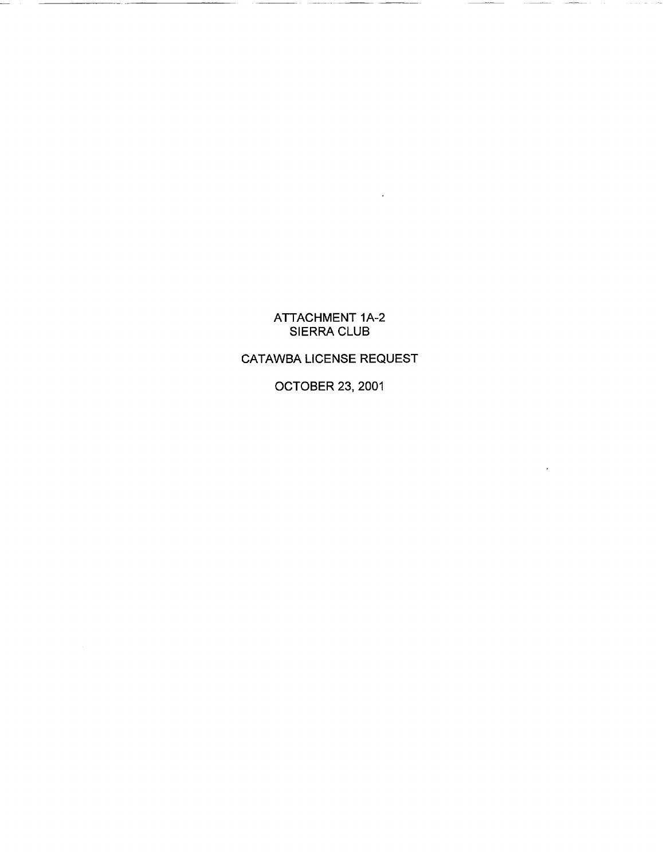## ATTACHMENT 1A-2 SIERRA CLUB

## CATAWBA LICENSE REQUEST

OCTOBER 23, 2001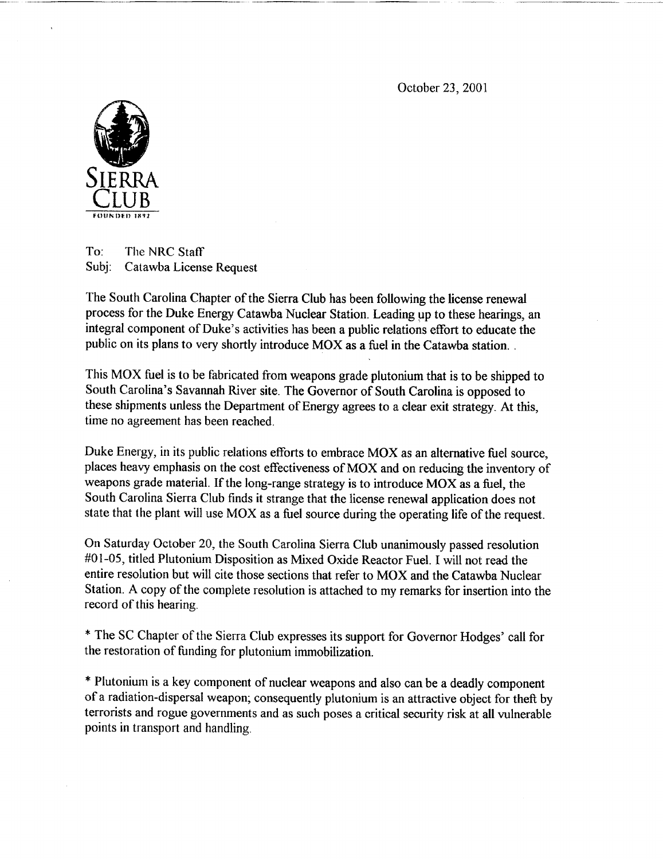October 23, 2001



To: The NRC Staff Subj: Catawba License Request

The South Carolina Chapter of the Sierra Club has been following the license renewal process for the Duke Energy Catawba Nuclear Station. Leading up to these hearings, an integral component of Duke's activities has been a public relations effort to educate the public on its plans to very shortly introduce MOX as a fuel in the Catawba station.

This MOX fuel is to be fabricated from weapons grade plutonium that is to be shipped to South Carolina's Savannah River site. The Governor of South Carolina is opposed to these shipments unless the Department of Energy agrees to a clear exit strategy. At this, time no agreement has been reached.

Duke Energy, in its public relations efforts to embrace MOX as an alternative fuel source, places heavy emphasis on the cost effectiveness of MOX and on reducing the inventory of weapons grade material. If the long-range strategy is to introduce MOX as a fuel, the South Carolina Sierra Club finds it strange that the license renewal application does not state that the plant will use MOX as a fuel source during the operating life of the request.

On Saturday October 20, the South Carolina Sierra Club unanimously passed resolution #01-05, titled Plutonium Disposition as Mixed Oxide Reactor Fuel. I will not read the entire resolution but will cite those sections that refer to MOX and the Catawba Nuclear Station. A copy of the complete resolution is attached to my remarks for insertion into the record of this hearing.

\* The SC Chapter of the Sierra Club expresses its support for Governor Hodges' call for the restoration of funding for plutonium immobilization.

\* Plutonium is a key component of nuclear weapons and also can be a deadly component of a radiation-dispersal weapon; consequently plutonium is an attractive object for theft by terrorists and rogue governments and as such poses a critical security risk at all vulnerable points in transport and handling.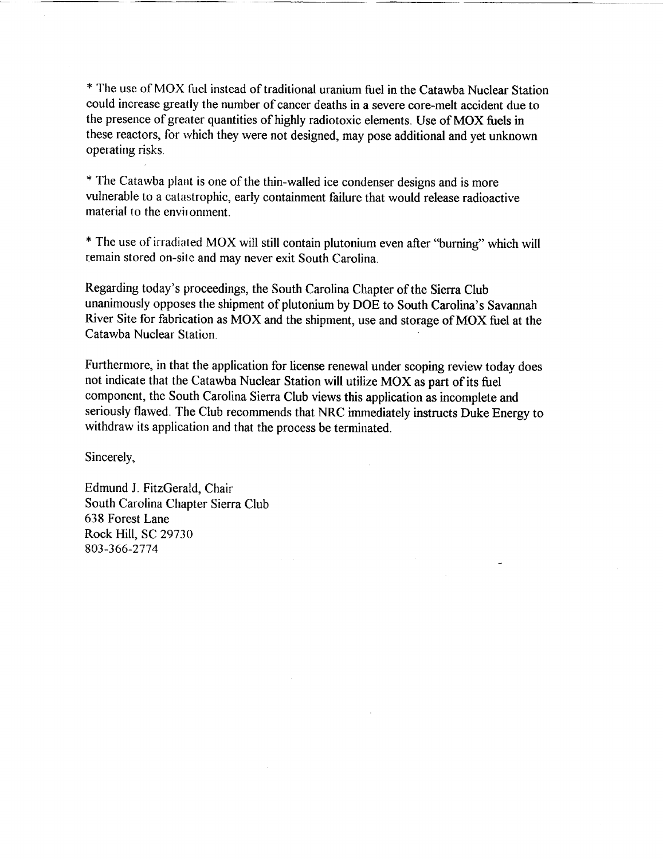\* The use of MOX fuel instead of traditional uranium fuel in the Catawba Nuclear Station could increase greatly the number of cancer deaths in a severe core-melt accident due to the presence of greater quantities of highly radiotoxic elements. Use of MOX fuels in these reactors, for which they were not designed, may pose additional and yet unknown operating risks.

\* The Catawba plant is one of the thin-walled ice condenser designs and is more vulnerable to a catastrophic, early containment failure that would release radioactive material to the envinonment.

\* The use of irradiated MOX will still contain plutonium even after "burning" which will remain stored on-site and may never exit South Carolina.

Regarding today's proceedings, the South Carolina Chapter of the Sierra Club unanimously opposes the shipment of plutonium by DOE to South Carolina's Savannah River Site for fabrication as MOX and the shipment, use and storage of MOX fuel at the Catawba Nuclear Station.

Furthermore, in that the application for license renewal under scoping review today does not indicate that the Catawba Nuclear Station will utilize MOX as part of its fuel component, the South Carolina Sierra Club views this application as incomplete and seriously flawed. The Club recommends that NRC immediately instructs Duke Energy to withdraw its application and that the process be terminated.

Sincerely,

Edmund J. FitzGerald, Chair South Carolina Chapter Sierra Club 638 Forest Lane Rock Hill, SC 29730 803-366-2774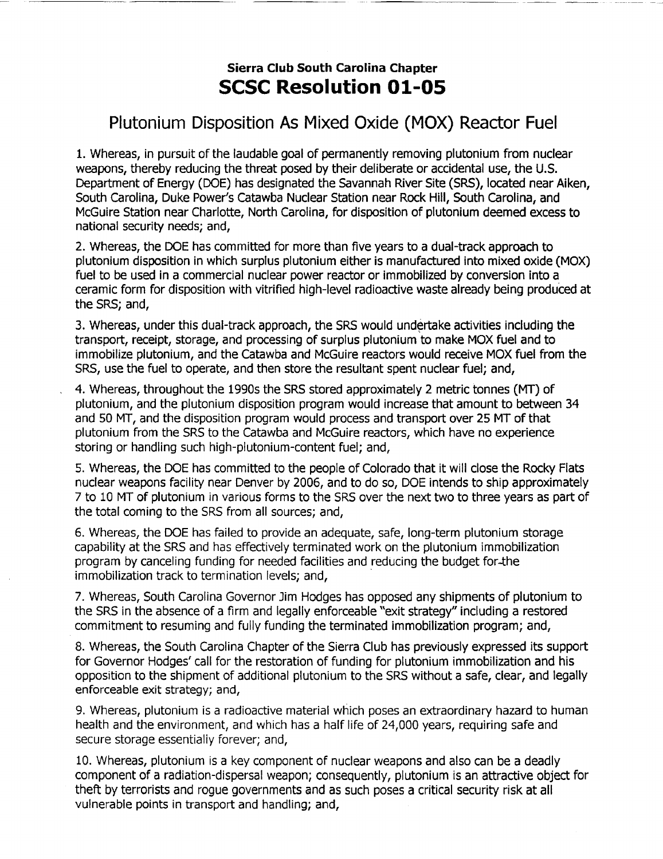## Sierra Club South Carolina Chapter **SCSC** Resolution **01-05**

## Plutonium Disposition As Mixed Oxide (MOX) Reactor Fuel

1. Whereas, in pursuit of the laudable goal of permanently removing plutonium from nuclear weapons, thereby reducing the threat posed by their deliberate or accidental use, the U.S. Department of Energy (DOE) has designated the Savannah River Site (SRS), located near Aiken, South Carolina, Duke Power's Catawba Nuclear Station near Rock Hill, South Carolina, and McGuire Station near Charlotte, North Carolina, for disposition of plutonium deemed excess to national security needs; and,

2. Whereas, the DOE has committed for more than five years to a dual-track approach to plutonium disposition in which surplus plutonium either is manufactured into mixed oxide (MOX) fuel to be used in a commercial nuclear power reactor or immobilized by conversion into a ceramic form for disposition with vitrified high-level radioactive waste already being produced at the SRS; and,

3. Whereas, under this dual-track approach, the SRS would undertake activities including the transport, receipt, storage, and processing of surplus plutonium to make MOX fuel and to immobilize plutonium, and the Catawba and McGuire reactors would receive MOX fuel from the SRS, use the fuel to operate, and then store the resultant spent nuclear fuel; and,

4. Whereas, throughout the 1990s the SRS stored approximately 2 metric tonnes (MT) of plutonium, and the plutonium disposition program would increase that amount to between 34 and 50 MT, and the disposition program would process and transport over 25 MT of that plutonium from the SRS to the Catawba and McGuire reactors, which have no experience storing or handling such high-plutonium-content fuel; and,

5. Whereas, the DOE has committed to the people of Colorado that it will close the Rocky Flats nuclear weapons facility near Denver by 2006, and to do so, DOE intends to ship approximately 7 to 10 MT of plutonium in various forms to the SRS over the next two to three years as part of the total coming to the SRS from all sources; and,

6. Whereas, the DOE has failed to provide an adequate, safe, long-term plutonium storage capability at the SRS and has effectively terminated work on the plutonium immobilization program by canceling funding for needed facilities and reducing the budget for-the immobilization track to termination levels; and,

7. Whereas, South Carolina Governor Jim Hodges has opposed any shipments of plutonium to the SRS in the absence of a firm and legally enforceable "exit strategy" including a restored commitment to resuming and fully funding the terminated immobilization program; and,

8. Whereas, the South Carolina Chapter of the Sierra Club has previously expressed its support for Governor Hodges' call for the restoration of funding for plutonium immobilization and his opposition to the shipment of additional plutonium to the SRS without a safe, clear, and legally enforceable exit strategy; and,

9. Whereas, plutonium is a radioactive material which poses an extraordinary hazard to human health and the environment, and which has a half life of 24,000 years, requiring safe and secure storage essentialiy forever; and,

10. Whereas, plutonium is a key component of nuclear weapons and also can be a deadly component of a radiation-dispersal weapon; consequently, plutonium is an attractive object for theft by terrorists and rogue governments and as such poses a critical security risk at all vulnerable points in transport and handling; and,